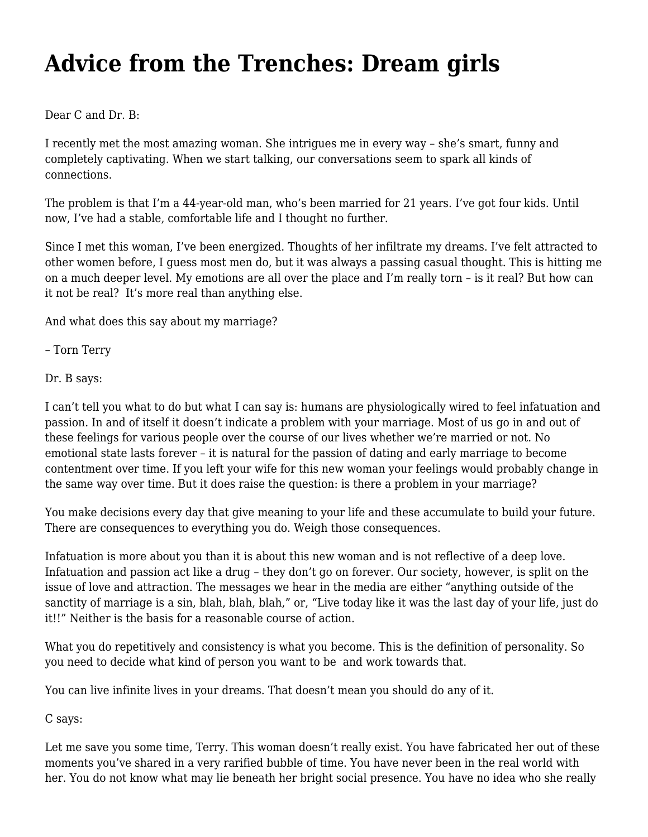## **[Advice from the Trenches: Dream girls](https://motifri.com/dream-girls/)**

Dear C and Dr. B:

I recently met the most amazing woman. She intrigues me in every way – she's smart, funny and completely captivating. When we start talking, our conversations seem to spark all kinds of connections.

The problem is that I'm a 44-year-old man, who's been married for 21 years. I've got four kids. Until now, I've had a stable, comfortable life and I thought no further.

Since I met this woman, I've been energized. Thoughts of her infiltrate my dreams. I've felt attracted to other women before, I guess most men do, but it was always a passing casual thought. This is hitting me on a much deeper level. My emotions are all over the place and I'm really torn – is it real? But how can it not be real? It's more real than anything else.

And what does this say about my marriage?

– Torn Terry

Dr. B says:

I can't tell you what to do but what I can say is: humans are physiologically wired to feel infatuation and passion. In and of itself it doesn't indicate a problem with your marriage. Most of us go in and out of these feelings for various people over the course of our lives whether we're married or not. No emotional state lasts forever – it is natural for the passion of dating and early marriage to become contentment over time. If you left your wife for this new woman your feelings would probably change in the same way over time. But it does raise the question: is there a problem in your marriage?

You make decisions every day that give meaning to your life and these accumulate to build your future. There are consequences to everything you do. Weigh those consequences.

Infatuation is more about you than it is about this new woman and is not reflective of a deep love. Infatuation and passion act like a drug – they don't go on forever. Our society, however, is split on the issue of love and attraction. The messages we hear in the media are either "anything outside of the sanctity of marriage is a sin, blah, blah, blah," or, "Live today like it was the last day of your life, just do it!!" Neither is the basis for a reasonable course of action.

What you do repetitively and consistency is what you become. This is the definition of personality. So you need to decide what kind of person you want to be and work towards that.

You can live infinite lives in your dreams. That doesn't mean you should do any of it.

C says:

Let me save you some time, Terry. This woman doesn't really exist. You have fabricated her out of these moments you've shared in a very rarified bubble of time. You have never been in the real world with her. You do not know what may lie beneath her bright social presence. You have no idea who she really